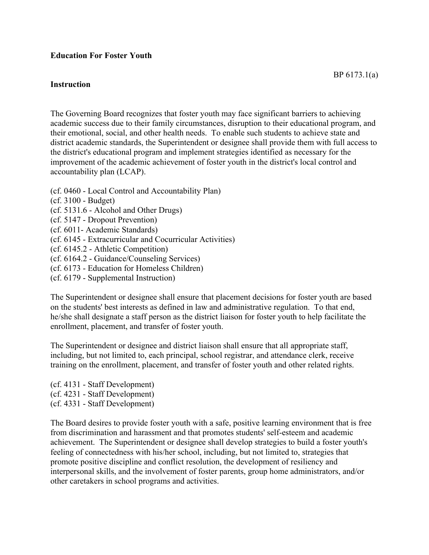## **Instruction**

The Governing Board recognizes that foster youth may face significant barriers to achieving academic success due to their family circumstances, disruption to their educational program, and their emotional, social, and other health needs. To enable such students to achieve state and district academic standards, the Superintendent or designee shall provide them with full access to the district's educational program and implement strategies identified as necessary for the improvement of the academic achievement of foster youth in the district's local control and accountability plan (LCAP).

(cf. 0460 - Local Control and Accountability Plan) (cf. 3100 - Budget) (cf. 5131.6 - Alcohol and Other Drugs) (cf. 5147 - Dropout Prevention) (cf. 6011- Academic Standards) (cf. 6145 - Extracurricular and Cocurricular Activities) (cf. 6145.2 - Athletic Competition) (cf. 6164.2 - Guidance/Counseling Services) (cf. 6173 - Education for Homeless Children) (cf. 6179 - Supplemental Instruction)

The Superintendent or designee shall ensure that placement decisions for foster youth are based on the students' best interests as defined in law and administrative regulation. To that end, he/she shall designate a staff person as the district liaison for foster youth to help facilitate the enrollment, placement, and transfer of foster youth.

The Superintendent or designee and district liaison shall ensure that all appropriate staff, including, but not limited to, each principal, school registrar, and attendance clerk, receive training on the enrollment, placement, and transfer of foster youth and other related rights.

(cf. 4131 - Staff Development) (cf. 4231 - Staff Development) (cf. 4331 - Staff Development)

The Board desires to provide foster youth with a safe, positive learning environment that is free from discrimination and harassment and that promotes students' self-esteem and academic achievement. The Superintendent or designee shall develop strategies to build a foster youth's feeling of connectedness with his/her school, including, but not limited to, strategies that promote positive discipline and conflict resolution, the development of resiliency and interpersonal skills, and the involvement of foster parents, group home administrators, and/or other caretakers in school programs and activities.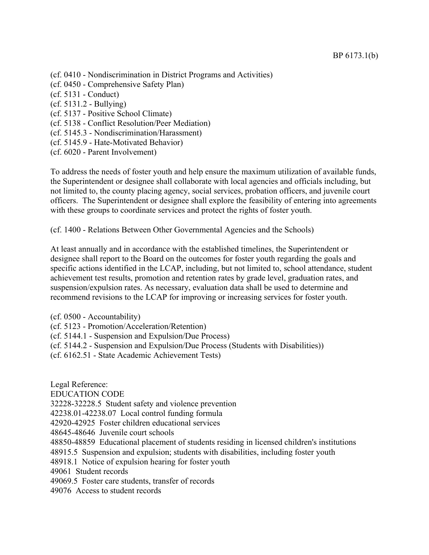- (cf. 0410 Nondiscrimination in District Programs and Activities)
- (cf. 0450 Comprehensive Safety Plan)
- (cf. 5131 Conduct)
- (cf. 5131.2 Bullying)
- (cf. 5137 Positive School Climate)
- (cf. 5138 Conflict Resolution/Peer Mediation)
- (cf. 5145.3 Nondiscrimination/Harassment)
- (cf. 5145.9 Hate-Motivated Behavior)
- (cf. 6020 Parent Involvement)

To address the needs of foster youth and help ensure the maximum utilization of available funds, the Superintendent or designee shall collaborate with local agencies and officials including, but not limited to, the county placing agency, social services, probation officers, and juvenile court officers. The Superintendent or designee shall explore the feasibility of entering into agreements with these groups to coordinate services and protect the rights of foster youth.

(cf. 1400 - Relations Between Other Governmental Agencies and the Schools)

At least annually and in accordance with the established timelines, the Superintendent or designee shall report to the Board on the outcomes for foster youth regarding the goals and specific actions identified in the LCAP, including, but not limited to, school attendance, student achievement test results, promotion and retention rates by grade level, graduation rates, and suspension/expulsion rates. As necessary, evaluation data shall be used to determine and recommend revisions to the LCAP for improving or increasing services for foster youth.

- (cf. 0500 Accountability)
- (cf. 5123 Promotion/Acceleration/Retention)
- (cf. 5144.1 Suspension and Expulsion/Due Process)
- (cf. 5144.2 Suspension and Expulsion/Due Process (Students with Disabilities))
- (cf. 6162.51 State Academic Achievement Tests)

Legal Reference: EDUCATION CODE 32228-32228.5 Student safety and violence prevention 42238.01-42238.07 Local control funding formula 42920-42925 Foster children educational services 48645-48646 Juvenile court schools 48850-48859 Educational placement of students residing in licensed children's institutions 48915.5 Suspension and expulsion; students with disabilities, including foster youth 48918.1 Notice of expulsion hearing for foster youth 49061 Student records 49069.5 Foster care students, transfer of records 49076 Access to student records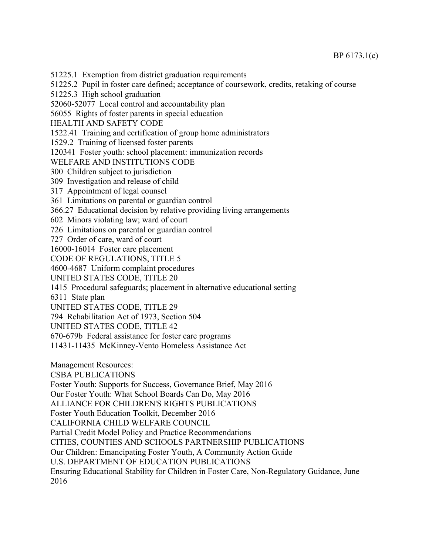51225.1 Exemption from district graduation requirements

51225.2 Pupil in foster care defined; acceptance of coursework, credits, retaking of course

51225.3 High school graduation

52060-52077 Local control and accountability plan

56055 Rights of foster parents in special education

HEALTH AND SAFETY CODE

1522.41 Training and certification of group home administrators

1529.2 Training of licensed foster parents

120341 Foster youth: school placement: immunization records

WELFARE AND INSTITUTIONS CODE

300 Children subject to jurisdiction

309 Investigation and release of child

317 Appointment of legal counsel

361 Limitations on parental or guardian control

366.27 Educational decision by relative providing living arrangements

602 Minors violating law; ward of court

726 Limitations on parental or guardian control

727 Order of care, ward of court

16000-16014 Foster care placement

CODE OF REGULATIONS, TITLE 5

4600-4687 Uniform complaint procedures

UNITED STATES CODE, TITLE 20

1415 Procedural safeguards; placement in alternative educational setting

6311 State plan

UNITED STATES CODE, TITLE 29

794 Rehabilitation Act of 1973, Section 504

UNITED STATES CODE, TITLE 42

670-679b Federal assistance for foster care programs

11431-11435 McKinney-Vento Homeless Assistance Act

Management Resources:

CSBA PUBLICATIONS

Foster Youth: Supports for Success, Governance Brief, May 2016

Our Foster Youth: What School Boards Can Do, May 2016

ALLIANCE FOR CHILDREN'S RIGHTS PUBLICATIONS

Foster Youth Education Toolkit, December 2016

CALIFORNIA CHILD WELFARE COUNCIL

Partial Credit Model Policy and Practice Recommendations

CITIES, COUNTIES AND SCHOOLS PARTNERSHIP PUBLICATIONS

Our Children: Emancipating Foster Youth, A Community Action Guide

U.S. DEPARTMENT OF EDUCATION PUBLICATIONS

Ensuring Educational Stability for Children in Foster Care, Non-Regulatory Guidance, June 2016